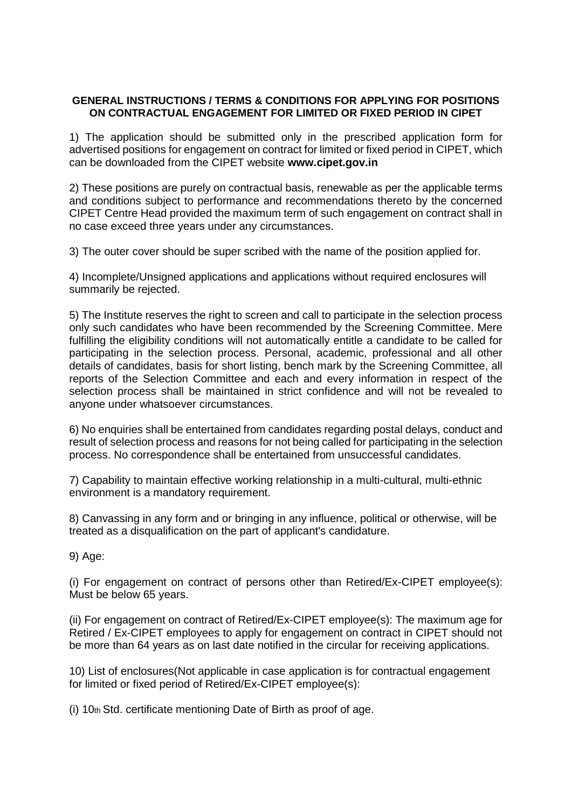## **GENERAL INSTRUCTIONS / TERMS & CONDITIONS FOR APPLYING FOR POSITIONS ON CONTRACTUAL ENGAGEMENT FOR LIMITED OR FIXED PERIOD IN CIPET**

1) The application should be submitted only in the prescribed application form for advertised positions for engagement on contract for limited or fixed period in CIPET, which can be downloaded from the CIPET website **www.cipet.gov.in** 

2) These positions are purely on contractual basis, renewable as per the applicable terms and conditions subject to performance and recommendations thereto by the concerned CIPET Centre Head provided the maximum term of such engagement on contract shall in no case exceed three years under any circumstances.

3) The outer cover should be super scribed with the name of the position applied for.

4) Incomplete/Unsigned applications and applications without required enclosures will summarily be rejected.

5) The Institute reserves the right to screen and call to participate in the selection process only such candidates who have been recommended by the Screening Committee. Mere fulfilling the eligibility conditions will not automatically entitle a candidate to be called for participating in the selection process. Personal, academic, professional and all other details of candidates, basis for short listing, bench mark by the Screening Committee, all reports of the Selection Committee and each and every information in respect of the selection process shall be maintained in strict confidence and will not be revealed to anyone under whatsoever circumstances.

6) No enquiries shall be entertained from candidates regarding postal delays, conduct and result of selection process and reasons for not being called for participating in the selection process. No correspondence shall be entertained from unsuccessful candidates.

7) Capability to maintain effective working relationship in a multi-cultural, multi-ethnic environment is a mandatory requirement.

8) Canvassing in any form and or bringing in any influence, political or otherwise, will be treated as a disqualification on the part of applicant's candidature.

9) Age:

(i) For engagement on contract of persons other than Retired/Ex-CIPET employee(s): Must be below 65 years.

(ii) For engagement on contract of Retired/Ex-CIPET employee(s): The maximum age for Retired / Ex-CIPET employees to apply for engagement on contract in CIPET should not be more than 64 years as on last date notified in the circular for receiving applications.

10) List of enclosures(Not applicable in case application is for contractual engagement for limited or fixed period of Retired/Ex-CIPET employee(s):

(i) 10th Std. certificate mentioning Date of Birth as proof of age.